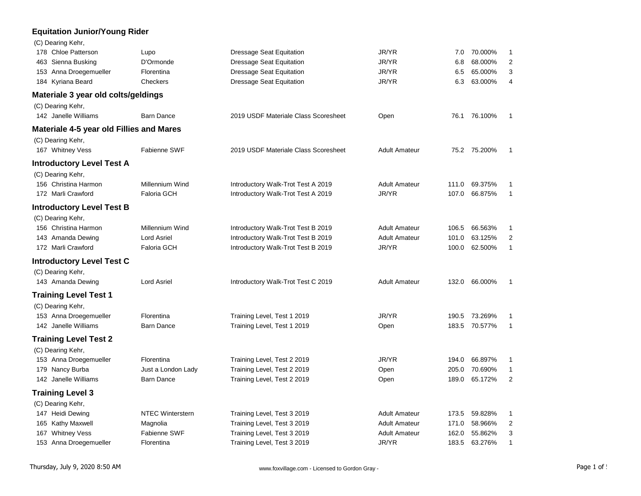#### **Equitation Junior/Young Rider**

| (C) Dearing Kehr,                               |                         |                                      |                      |       |               |                |
|-------------------------------------------------|-------------------------|--------------------------------------|----------------------|-------|---------------|----------------|
| 178 Chloe Patterson                             | Lupo                    | <b>Dressage Seat Equitation</b>      | JR/YR                | 7.0   | 70.000%       | 1              |
| 463 Sienna Busking                              | D'Ormonde               | <b>Dressage Seat Equitation</b>      | JR/YR                | 6.8   | 68.000%       | $\overline{2}$ |
| 153 Anna Droegemueller                          | Florentina              | <b>Dressage Seat Equitation</b>      | JR/YR                | 6.5   | 65.000%       | 3              |
| 184 Kyriana Beard                               | Checkers                | <b>Dressage Seat Equitation</b>      | JR/YR                | 6.3   | 63.000%       | $\overline{4}$ |
| Materiale 3 year old colts/geldings             |                         |                                      |                      |       |               |                |
| (C) Dearing Kehr,                               |                         |                                      |                      |       |               |                |
| 142 Janelle Williams                            | <b>Barn Dance</b>       | 2019 USDF Materiale Class Scoresheet | Open                 |       | 76.1 76.100%  | $\mathbf 1$    |
| <b>Materiale 4-5 year old Fillies and Mares</b> |                         |                                      |                      |       |               |                |
| (C) Dearing Kehr,                               |                         |                                      |                      |       |               |                |
| 167 Whitney Vess                                | <b>Fabienne SWF</b>     | 2019 USDF Materiale Class Scoresheet | <b>Adult Amateur</b> |       | 75.2 75.200%  | -1             |
| <b>Introductory Level Test A</b>                |                         |                                      |                      |       |               |                |
| (C) Dearing Kehr,                               |                         |                                      |                      |       |               |                |
| 156 Christina Harmon                            | Millennium Wind         | Introductory Walk-Trot Test A 2019   | <b>Adult Amateur</b> | 111.0 | 69.375%       | 1              |
| 172 Marli Crawford                              | <b>Faloria GCH</b>      | Introductory Walk-Trot Test A 2019   | JR/YR                | 107.0 | 66.875%       | $\mathbf{1}$   |
| <b>Introductory Level Test B</b>                |                         |                                      |                      |       |               |                |
| (C) Dearing Kehr,                               |                         |                                      |                      |       |               |                |
| 156 Christina Harmon                            | Millennium Wind         | Introductory Walk-Trot Test B 2019   | <b>Adult Amateur</b> | 106.5 | 66.563%       | 1              |
| 143 Amanda Dewing                               | <b>Lord Asriel</b>      | Introductory Walk-Trot Test B 2019   | <b>Adult Amateur</b> | 101.0 | 63.125%       | $\overline{2}$ |
| 172 Marli Crawford                              | <b>Faloria GCH</b>      | Introductory Walk-Trot Test B 2019   | JR/YR                | 100.0 | 62.500%       | $\mathbf{1}$   |
| <b>Introductory Level Test C</b>                |                         |                                      |                      |       |               |                |
| (C) Dearing Kehr,                               |                         |                                      |                      |       |               |                |
| 143 Amanda Dewing                               | <b>Lord Asriel</b>      | Introductory Walk-Trot Test C 2019   | <b>Adult Amateur</b> | 132.0 | 66.000%       | -1             |
| <b>Training Level Test 1</b>                    |                         |                                      |                      |       |               |                |
| (C) Dearing Kehr,                               |                         |                                      |                      |       |               |                |
| 153 Anna Droegemueller                          | Florentina              | Training Level, Test 1 2019          | JR/YR                |       | 190.5 73.269% | 1              |
| 142 Janelle Williams                            | <b>Barn Dance</b>       | Training Level, Test 1 2019          | Open                 |       | 183.5 70.577% | $\mathbf{1}$   |
| <b>Training Level Test 2</b>                    |                         |                                      |                      |       |               |                |
| (C) Dearing Kehr,                               |                         |                                      |                      |       |               |                |
| 153 Anna Droegemueller                          | Florentina              | Training Level, Test 2 2019          | JR/YR                | 194.0 | 66.897%       | 1              |
| 179 Nancy Burba                                 | Just a London Lady      | Training Level, Test 2 2019          | Open                 | 205.0 | 70.690%       | 1              |
| 142 Janelle Williams                            | <b>Barn Dance</b>       | Training Level, Test 2 2019          | Open                 | 189.0 | 65.172%       | $\overline{2}$ |
| <b>Training Level 3</b>                         |                         |                                      |                      |       |               |                |
| (C) Dearing Kehr,                               |                         |                                      |                      |       |               |                |
| 147 Heidi Dewing                                | <b>NTEC Winterstern</b> | Training Level, Test 3 2019          | <b>Adult Amateur</b> | 173.5 | 59.828%       | 1              |
| 165 Kathy Maxwell                               | Magnolia                | Training Level, Test 3 2019          | <b>Adult Amateur</b> | 171.0 | 58.966%       | 2              |
| 167 Whitney Vess                                | Fabienne SWF            | Training Level, Test 3 2019          | <b>Adult Amateur</b> | 162.0 | 55.862%       | 3              |
| 153 Anna Droegemueller                          | Florentina              | Training Level, Test 3 2019          | JR/YR                | 183.5 | 63.276%       | 1              |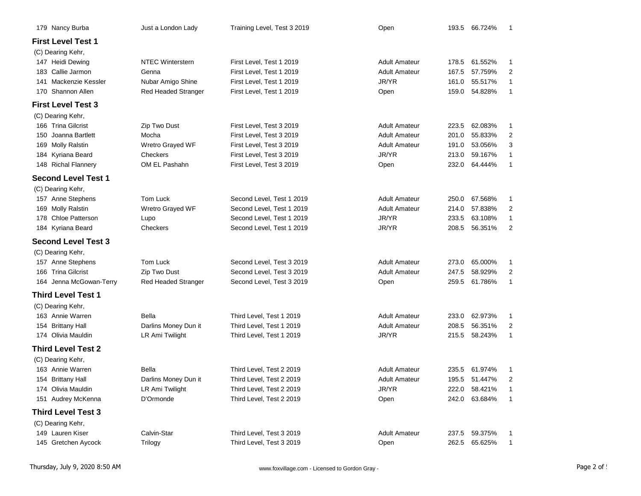| 179 Nancy Burba            | Just a London Lady      | Training Level, Test 3 2019 | Open                 |       | 193.5 66.724% | -1             |
|----------------------------|-------------------------|-----------------------------|----------------------|-------|---------------|----------------|
| <b>First Level Test 1</b>  |                         |                             |                      |       |               |                |
| (C) Dearing Kehr,          |                         |                             |                      |       |               |                |
| 147 Heidi Dewing           | <b>NTEC Winterstern</b> | First Level, Test 1 2019    | <b>Adult Amateur</b> | 178.5 | 61.552%       | $\mathbf{1}$   |
| 183 Callie Jarmon          | Genna                   | First Level, Test 1 2019    | <b>Adult Amateur</b> | 167.5 | 57.759%       | 2              |
| 141 Mackenzie Kessler      | Nubar Amigo Shine       | First Level, Test 1 2019    | JR/YR                | 161.0 | 55.517%       | $\mathbf{1}$   |
| 170 Shannon Allen          | Red Headed Stranger     | First Level, Test 1 2019    | Open                 | 159.0 | 54.828%       | $\mathbf{1}$   |
| <b>First Level Test 3</b>  |                         |                             |                      |       |               |                |
| (C) Dearing Kehr,          |                         |                             |                      |       |               |                |
| 166 Trina Gilcrist         | Zip Two Dust            | First Level, Test 3 2019    | <b>Adult Amateur</b> | 223.5 | 62.083%       | $\mathbf{1}$   |
| Joanna Bartlett<br>150     | Mocha                   | First Level, Test 3 2019    | <b>Adult Amateur</b> | 201.0 | 55.833%       | $\overline{2}$ |
| 169 Molly Ralstin          | Wretro Grayed WF        | First Level, Test 3 2019    | <b>Adult Amateur</b> | 191.0 | 53.056%       | 3              |
| 184 Kyriana Beard          | Checkers                | First Level, Test 3 2019    | JR/YR                | 213.0 | 59.167%       | 1              |
| 148 Richal Flannery        | OM EL Pashahn           | First Level, Test 3 2019    | Open                 | 232.0 | 64.444%       | 1              |
| <b>Second Level Test 1</b> |                         |                             |                      |       |               |                |
| (C) Dearing Kehr,          |                         |                             |                      |       |               |                |
| 157 Anne Stephens          | Tom Luck                | Second Level, Test 1 2019   | <b>Adult Amateur</b> | 250.0 | 67.568%       | 1              |
| 169 Molly Ralstin          | Wretro Grayed WF        | Second Level, Test 1 2019   | <b>Adult Amateur</b> | 214.0 | 57.838%       | $\overline{2}$ |
| 178 Chloe Patterson        | Lupo                    | Second Level, Test 1 2019   | JR/YR                | 233.5 | 63.108%       | $\mathbf{1}$   |
| 184 Kyriana Beard          | Checkers                | Second Level, Test 1 2019   | JR/YR                | 208.5 | 56.351%       | 2              |
| <b>Second Level Test 3</b> |                         |                             |                      |       |               |                |
| (C) Dearing Kehr,          |                         |                             |                      |       |               |                |
| 157 Anne Stephens          | Tom Luck                | Second Level, Test 3 2019   | <b>Adult Amateur</b> | 273.0 | 65.000%       | 1              |
| 166 Trina Gilcrist         | Zip Two Dust            | Second Level, Test 3 2019   | <b>Adult Amateur</b> | 247.5 | 58.929%       | 2              |
| 164 Jenna McGowan-Terry    | Red Headed Stranger     | Second Level, Test 3 2019   | Open                 | 259.5 | 61.786%       | 1              |
| <b>Third Level Test 1</b>  |                         |                             |                      |       |               |                |
| (C) Dearing Kehr,          |                         |                             |                      |       |               |                |
| 163 Annie Warren           | Bella                   | Third Level, Test 1 2019    | <b>Adult Amateur</b> | 233.0 | 62.973%       | 1              |
| 154 Brittany Hall          | Darlins Money Dun it    | Third Level, Test 1 2019    | <b>Adult Amateur</b> | 208.5 | 56.351%       | $\overline{2}$ |
| 174 Olivia Mauldin         | LR Ami Twilight         | Third Level, Test 1 2019    | JR/YR                | 215.5 | 58.243%       | 1              |
| <b>Third Level Test 2</b>  |                         |                             |                      |       |               |                |
| (C) Dearing Kehr,          |                         |                             |                      |       |               |                |
| 163 Annie Warren           | Bella                   | Third Level, Test 2 2019    | <b>Adult Amateur</b> | 235.5 | 61.974%       | 1              |
| 154 Brittany Hall          | Darlins Money Dun it    | Third Level, Test 2 2019    | Adult Amateur        |       | 195.5 51.447% | 2              |
| 174 Olivia Mauldin         | LR Ami Twilight         | Third Level, Test 2 2019    | JR/YR                | 222.0 | 58.421%       | 1              |
| 151 Audrey McKenna         | D'Ormonde               | Third Level, Test 2 2019    | Open                 | 242.0 | 63.684%       | 1              |
| <b>Third Level Test 3</b>  |                         |                             |                      |       |               |                |
| (C) Dearing Kehr,          |                         |                             |                      |       |               |                |
| 149 Lauren Kiser           | Calvin-Star             | Third Level, Test 3 2019    | <b>Adult Amateur</b> |       | 237.5 59.375% | 1              |
| 145 Gretchen Aycock        | Trilogy                 | Third Level, Test 3 2019    | Open                 | 262.5 | 65.625%       | $\mathbf{1}$   |
|                            |                         |                             |                      |       |               |                |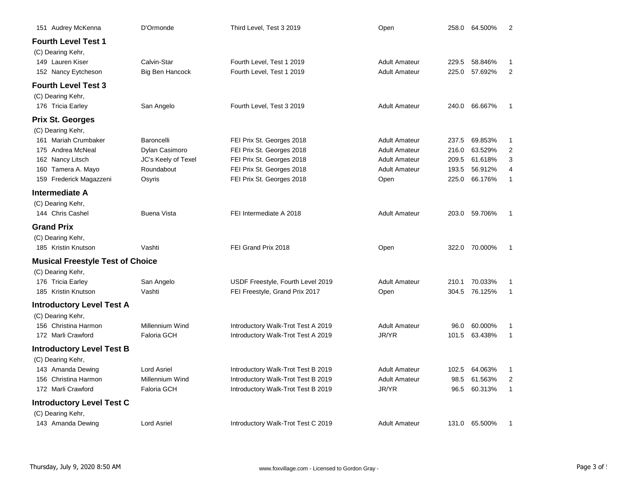| 151 Audrey McKenna                                    | D'Ormonde              | Third Level, Test 3 2019           | Open                 | 258.0 | 64.500%       | 2              |
|-------------------------------------------------------|------------------------|------------------------------------|----------------------|-------|---------------|----------------|
| <b>Fourth Level Test 1</b><br>(C) Dearing Kehr,       |                        |                                    |                      |       |               |                |
| 149 Lauren Kiser                                      | Calvin-Star            | Fourth Level, Test 1 2019          | <b>Adult Amateur</b> | 229.5 | 58.846%       | 1              |
| 152 Nancy Eytcheson                                   | <b>Big Ben Hancock</b> | Fourth Level, Test 1 2019          | <b>Adult Amateur</b> | 225.0 | 57.692%       | 2              |
| <b>Fourth Level Test 3</b><br>(C) Dearing Kehr,       |                        |                                    |                      |       |               |                |
| 176 Tricia Earley                                     | San Angelo             | Fourth Level, Test 3 2019          | <b>Adult Amateur</b> | 240.0 | 66.667%       | 1              |
| <b>Prix St. Georges</b><br>(C) Dearing Kehr,          |                        |                                    |                      |       |               |                |
| 161 Mariah Crumbaker                                  | Baroncelli             | FEI Prix St. Georges 2018          | <b>Adult Amateur</b> | 237.5 | 69.853%       | 1              |
| 175 Andrea McNeal                                     | Dylan Casimoro         | FEI Prix St. Georges 2018          | <b>Adult Amateur</b> | 216.0 | 63.529%       | $\overline{2}$ |
| 162 Nancy Litsch                                      | JC's Keely of Texel    | FEI Prix St. Georges 2018          | <b>Adult Amateur</b> | 209.5 | 61.618%       | 3              |
| 160 Tamera A. Mayo                                    | Roundabout             | FEI Prix St. Georges 2018          | <b>Adult Amateur</b> | 193.5 | 56.912%       | 4              |
| 159 Frederick Magazzeni                               | Osyris                 | FEI Prix St. Georges 2018          | Open                 | 225.0 | 66.176%       | 1              |
| Intermediate A                                        |                        |                                    |                      |       |               |                |
| (C) Dearing Kehr,<br>144 Chris Cashel                 | <b>Buena Vista</b>     | FEI Intermediate A 2018            | <b>Adult Amateur</b> |       | 203.0 59.706% | 1              |
| <b>Grand Prix</b>                                     |                        |                                    |                      |       |               |                |
| (C) Dearing Kehr,                                     |                        |                                    |                      |       |               |                |
| 185 Kristin Knutson                                   | Vashti                 | FEI Grand Prix 2018                | Open                 | 322.0 | 70.000%       | 1              |
| <b>Musical Freestyle Test of Choice</b>               |                        |                                    |                      |       |               |                |
| (C) Dearing Kehr,                                     |                        |                                    |                      |       |               |                |
| 176 Tricia Earley                                     | San Angelo             | USDF Freestyle, Fourth Level 2019  | <b>Adult Amateur</b> | 210.1 | 70.033%       | 1              |
| 185 Kristin Knutson                                   | Vashti                 | FEI Freestyle, Grand Prix 2017     | Open                 | 304.5 | 76.125%       | $\mathbf{1}$   |
| <b>Introductory Level Test A</b>                      |                        |                                    |                      |       |               |                |
| (C) Dearing Kehr,                                     |                        |                                    |                      |       |               |                |
| 156 Christina Harmon                                  | Millennium Wind        | Introductory Walk-Trot Test A 2019 | <b>Adult Amateur</b> | 96.0  | 60.000%       | 1              |
| 172 Marli Crawford                                    | <b>Faloria GCH</b>     | Introductory Walk-Trot Test A 2019 | JR/YR                | 101.5 | 63.438%       | 1              |
| <b>Introductory Level Test B</b><br>(C) Dearing Kehr, |                        |                                    |                      |       |               |                |
| 143 Amanda Dewing                                     | <b>Lord Asriel</b>     | Introductory Walk-Trot Test B 2019 | <b>Adult Amateur</b> | 102.5 | 64.063%       | -1             |
| 156 Christina Harmon                                  | Millennium Wind        | Introductory Walk-Trot Test B 2019 | <b>Adult Amateur</b> | 98.5  | 61.563%       | $\overline{2}$ |
| 172 Marli Crawford                                    | <b>Faloria GCH</b>     | Introductory Walk-Trot Test B 2019 | JR/YR                | 96.5  | 60.313%       | 1              |
| <b>Introductory Level Test C</b>                      |                        |                                    |                      |       |               |                |
| (C) Dearing Kehr,                                     |                        |                                    |                      |       |               |                |
| 143 Amanda Dewing                                     | <b>Lord Asriel</b>     | Introductory Walk-Trot Test C 2019 | <b>Adult Amateur</b> |       | 131.0 65.500% | 1              |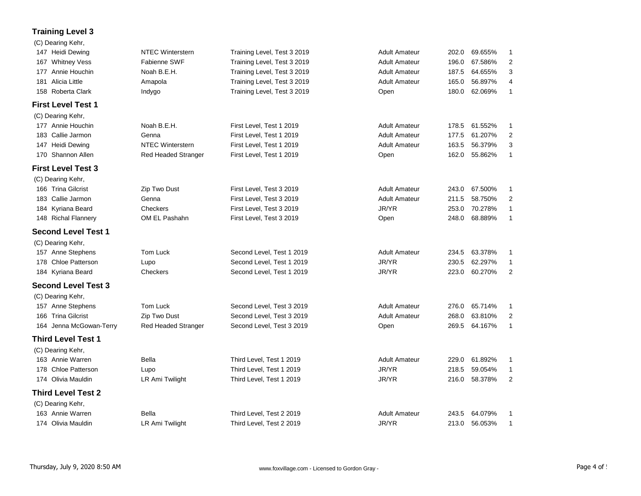### **Training Level 3**

| .                 |                  |                             |               |               |         |     |
|-------------------|------------------|-----------------------------|---------------|---------------|---------|-----|
| (C) Dearing Kehr, |                  |                             |               |               |         |     |
| 147 Heidi Dewing  | NTEC Winterstern | Training Level, Test 3 2019 | Adult Amateur | 202.0         | 69.655% |     |
| 167 Whitney Vess  | Fabienne SWF     | Training Level, Test 3 2019 | Adult Amateur | 196.0 67.586% |         | - 2 |
| 177 Annie Houchin | Noah B.E.H.      | Training Level, Test 3 2019 | Adult Amateur | 187.5         | 64.655% | - 3 |

| 181 Alicia Little |  |
|-------------------|--|
|-------------------|--|

# 158 Roberta Clark **Indygo** Clark Indygo Training Level, Test 3 2019 Copen 180.0 62.069% 1

(C) Dearing Kehr,

| <b>First Level Test 1</b> |  |  |
|---------------------------|--|--|
|---------------------------|--|--|

| (C) Dearing Kehr,         |                         |                          |                      |       |               |                          |
|---------------------------|-------------------------|--------------------------|----------------------|-------|---------------|--------------------------|
| 177 Annie Houchin         | Noah B.E.H.             | First Level, Test 1 2019 | Adult Amateur        |       | 178.5 61.552% | $\overline{\phantom{0}}$ |
| 183 Callie Jarmon         | Genna                   | First Level, Test 1 2019 | <b>Adult Amateur</b> |       | 177.5 61.207% | - 2                      |
| 147 Heidi Dewing          | <b>NTEC Winterstern</b> | First Level, Test 1 2019 | <b>Adult Amateur</b> | 163.5 | 56.379%       | - 3                      |
| 170 Shannon Allen         | Red Headed Stranger     | First Level, Test 1 2019 | Open                 | 162.0 | 55.862%       | $\overline{\phantom{0}}$ |
| <b>First Level Test 3</b> |                         |                          |                      |       |               |                          |

181 Alicia Little Amapola Training Level, Test 3 2019 Adult Amateur 165.0 56.897% 4

|     | 166 Trina Gilcrist         | Zip Two Dust               | First Level, Test 3 2019  | <b>Adult Amateur</b> | 243.0 | 67.500%             |   |
|-----|----------------------------|----------------------------|---------------------------|----------------------|-------|---------------------|---|
|     | 183 Callie Jarmon          | Genna                      | First Level, Test 3 2019  | <b>Adult Amateur</b> | 211.5 | 58.750%             | 2 |
|     | 184 Kyriana Beard          | <b>Checkers</b>            | First Level, Test 3 2019  | JR/YR                | 253.0 | 70.278%             |   |
|     | 148 Richal Flannery        | OM EL Pashahn              | First Level, Test 3 2019  | Open                 | 248.0 | 68.889%             |   |
|     | <b>Second Level Test 1</b> |                            |                           |                      |       |                     |   |
|     | (C) Dearing Kehr,          |                            |                           |                      |       |                     |   |
|     | 157 Anne Stephens          | Tom Luck                   | Second Level, Test 1 2019 | <b>Adult Amateur</b> | 234.5 | 63.378%             |   |
|     | 178 Chloe Patterson        | Lupo                       | Second Level, Test 1 2019 | JR/YR                | 230.5 | 62.297%             |   |
|     | 184 Kyriana Beard          | Checkers                   | Second Level, Test 1 2019 | JR/YR                | 223.0 | 60.270%             |   |
|     | <b>Second Level Test 3</b> |                            |                           |                      |       |                     |   |
|     | (C) Dearing Kehr,          |                            |                           |                      |       |                     |   |
| 157 | Anne Stephens              | Tom Luck                   | Second Level, Test 3 2019 | <b>Adult Amateur</b> | 276.0 | 65.714%             |   |
| 166 | <b>Trina Gilcrist</b>      | Zip Two Dust               | Second Level, Test 3 2019 | <b>Adult Amateur</b> | 268.0 | 63.810%             | 2 |
|     | 164 Jenna McGowan-Terry    | <b>Red Headed Stranger</b> | Second Level, Test 3 2019 | Open                 | 269.5 | 64.167%             |   |
|     | <b>Third Level Test 1</b>  |                            |                           |                      |       |                     |   |
|     | (C) Dearing Kehr,          |                            |                           |                      |       |                     |   |
|     | 163 Annie Warren           | <b>Ralla</b>               | Third Laval Tact 1 2010   | Adult Amataur        |       | $2290 \cap 61892\%$ |   |

## 163 Annie Warren **163 Bella** Bella **Third Level, Test 1 2019** Adult Amateur 229.0 61.892% 1 178 Chloe Patterson Lupo Third Level, Test 1 2019 JR/YR 218.5 59.054% 1 174 Olivia Mauldin LR Ami Twilight Third Level, Test 1 2019 JR/YR 216.0 58.378% 2 **Third Level Test 2** (C) Dearing Kehr, 163 Annie Warren **163 Bella** Bella **Third Level, Test 2 2019** Adult Amateur 243.5 64.079% 1 174 Olivia Mauldin LR Ami Twilight Third Level, Test 2 2019 JR/YR 213.0 56.053% 1